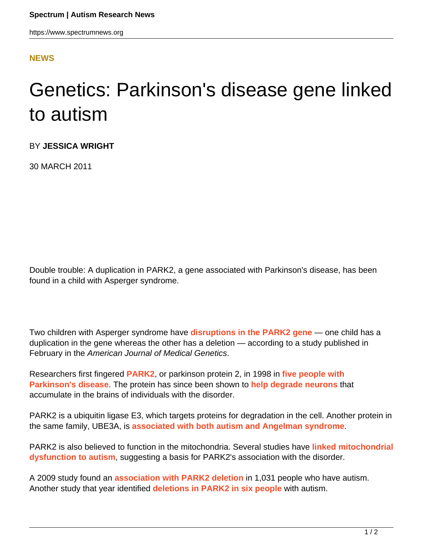## **[NEWS](HTTPS://WWW.SPECTRUMNEWS.ORG/NEWS/)**

## Genetics: Parkinson's disease gene linked to autism

BY **JESSICA WRIGHT**

30 MARCH 2011

Double trouble: A duplication in PARK2, a gene associated with Parkinson's disease, has been found in a child with Asperger syndrome.

Two children with Asperger syndrome have **[disruptions in the PARK2 gene](http://www.ncbi.nlm.nih.gov/pubmed/21360662)** — one child has a duplication in the gene whereas the other has a deletion — according to a study published in February in the American Journal of Medical Genetics.

Researchers first fingered **[PARK2](http://gene.sfari.org/humangene/detail/PARK2)**, or parkinson protein 2, in 1998 in **[five people with](http://www.ncbi.nlm.nih.gov/pubmed/9560156) [Parkinson's disease](http://www.ncbi.nlm.nih.gov/pubmed/9560156)**. The protein has since been shown to **[help degrade neurons](http://www.ncbi.nlm.nih.gov/pubmed/11431533)** that accumulate in the brains of individuals with the disorder.

PARK2 is a ubiquitin ligase E3, which targets proteins for degradation in the cell. Another protein in the same family, UBE3A, is **[associated with both autism and Angelman syndrome](https://www.spectrumnews.org/directors-columns/2010/directors-column-ube3a-what-the-hect-goes-on-in-the-brain)**.

PARK2 is also believed to function in the mitochondria. Several studies have **[linked mitochondrial](https://www.spectrumnews.org/news/2011/mitochondrial-function-disrupted-in-children-with-autism) [dysfunction to autism](https://www.spectrumnews.org/news/2011/mitochondrial-function-disrupted-in-children-with-autism)**, suggesting a basis for PARK2's association with the disorder.

A 2009 study found an **[association with PARK2 deletion](https://www.spectrumnews.org/news/2009/genome-scan-links-chromosome-5-to-autism)** in 1,031 people who have autism. Another study that year identified **[deletions in PARK2 in six people](https://www.spectrumnews.org/news/2009/genome-wide-study-fingers-first-common-risk-factors-for-autism)** with autism.